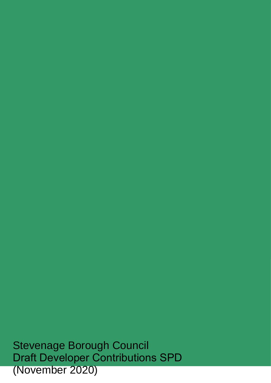Stevenage Borough Council Draft Developer Contributions SPD (November 2020)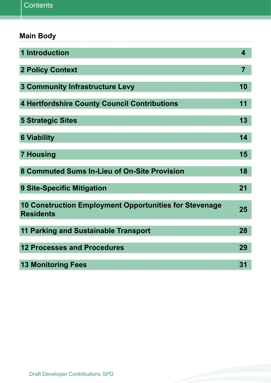| <b>Main Body</b>                                                                  |                         |
|-----------------------------------------------------------------------------------|-------------------------|
| <b>1 Introduction</b>                                                             | $\overline{\mathbf{4}}$ |
| <b>2 Policy Context</b>                                                           | $\overline{7}$          |
| <b>3 Community Infrastructure Levy</b>                                            | 10                      |
| <b>4 Hertfordshire County Council Contributions</b>                               | 11                      |
| <b>5 Strategic Sites</b>                                                          | 13                      |
| <b>6 Viability</b>                                                                | 14                      |
| <b>7 Housing</b>                                                                  | 15                      |
| 8 Commuted Sums In-Lieu of On-Site Provision                                      | 18                      |
| <b>9 Site-Specific Mitigation</b>                                                 | 21                      |
| <b>10 Construction Employment Opportunities for Stevenage</b><br><b>Residents</b> | 25                      |
| <b>11 Parking and Sustainable Transport</b>                                       | 28                      |
| <b>12 Processes and Procedures</b>                                                | 29                      |
| <b>13 Monitoring Fees</b>                                                         | 31                      |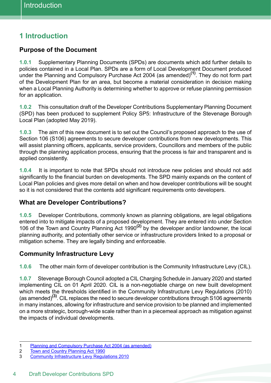# **1 Introduction**

## **Purpose of the Document**

 **1.0.1** Supplementary Planning Documents (SPDs) are documents which add further details to policies contained in a Local Plan. SPDs are a form of Local Development Document produced under the Planning and Compulsory Purchase Act 2004 (as amended)**(1)**. They do not form part of the Development Plan for an area, but become a material consideration in decision making when a Local Planning Authority is determining whether to approve or refuse planning permission for an application.

 **1.0.2** This consultation draft of the Developer Contributions Supplementary Planning Document (SPD) has been produced to supplement Policy SP5: Infrastructure of the Stevenage Borough Local Plan (adopted May 2019).

 **1.0.3** The aim of this new document is to set out the Council's proposed approach to the use of Section 106 (S106) agreements to secure developer contributions from new developments. This will assist planning officers, applicants, service providers, Councillors and members of the public through the planning application process, ensuring that the process is fair and transparent and is applied consistently.

 **1.0.4** It is important to note that SPDs should not introduce new policies and should not add significantly to the financial burden on developments. The SPD mainly expands on the content of Local Plan policies and gives more detail on when and how developer contributions will be sought so it is not considered that the contents add significant requirements onto developers.

### **What are Developer Contributions?**

 **1.0.5** Developer Contributions, commonly known as planning obligations, are legal obligations entered into to mitigate impacts of a proposed development. They are entered into under Section 106 of the Town and Country Planning Act 1990**(2)** by the developer and/or landowner, the local planning authority, and potentially other service or infrastructure providers linked to a proposal or mitigation scheme. They are legally binding and enforceable.

### **Community Infrastructure Levy**

**1.0.6** The other main form of developer contribution is the Community Infrastructure Levy (CIL).

 **1.0.7** Stevenage Borough Council adopted a CIL Charging Schedule in January 2020 and started implementing CIL on 01 April 2020. CIL is a non-negotiable charge on new built development which meets the thresholds identified in the Community Infrastructure Levy Regulations (2010) (as amended)**(3)**. CIL replaces the need to secure developer contributions through S106 agreements in many instances, allowing for infrastructure and service provision to be planned and implemented on a more strategic, borough-wide scale rather than in a piecemeal approach as mitigation against the impacts of individual developments.

2 Town and Country Planning Act 1990

<sup>1</sup> Planning and Compulsory Purchase Act 2004 (as amended)

<sup>3</sup> Community Infrastructure Levy Regulations 2010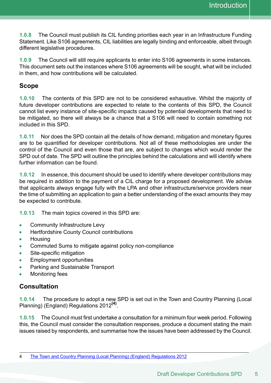**1.0.8** The Council must publish its CIL funding priorities each year in an Infrastructure Funding Statement. Like S106 agreements, CIL liabilities are legally binding and enforceable, albeit through different legislative procedures.

 **1.0.9** The Council will still require applicants to enter into S106 agreements in some instances. This document sets out the instances where S106 agreements will be sought, what will be included in them, and how contributions will be calculated.

#### **Scope**

 **1.0.10** The contents of this SPD are not to be considered exhaustive. Whilst the majority of future developer contributions are expected to relate to the contents of this SPD, the Council cannot list every instance of site-specific impacts caused by potential developments that need to be mitigated, so there will always be a chance that a S106 will need to contain something not included in this SPD.

 **1.0.11** Nor does the SPD contain all the details of how demand, mitigation and monetary figures are to be quantified for developer contributions. Not all of these methodologies are under the control of the Council and even those that are, are subject to changes which would render the SPD out of date. The SPD will outline the principles behind the calculations and will identify where further information can be found.

 **1.0.12** In essence, this document should be used to identify where developer contributions may be required in addition to the payment of a CIL charge for a proposed development. We advise that applicants always engage fully with the LPA and other infrastructure/service providers near the time of submitting an application to gain a better understanding of the exact amounts they may be expected to contribute.

**1.0.13** The main topics covered in this SPD are:

- Community Infrastructure Levy  $\bullet$
- $\bullet$ Hertfordshire County Council contributions
- **Housing**  $\blacksquare$
- $\bullet$ Commuted Sums to mitigate against policy non-compliance
- Site-specific mitigation  $\blacksquare$
- Employment opportunities  $\bullet$
- $\bullet$ Parking and Sustainable Transport
- Monitoring fees  $\bullet$

### **Consultation**

**1.0.14** The procedure to adopt a new SPD is set out in the Town and Country Planning (Local Planning) (England) Regulations 2012**(4)**.

**1.0.15** The Council must first undertake a consultation for a minimum four week period. Following this, the Council must consider the consultation responses, produce a document stating the main issues raised by respondents, and summarise how the issues have been addressed by the Council.

<sup>4</sup> The Town and Country Planning (Local Planning) (England) Regulations 2012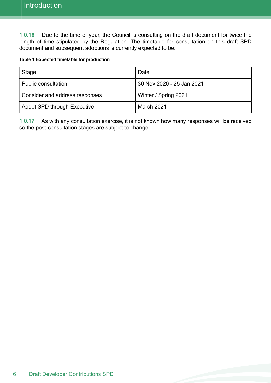**1.0.16** Due to the time of year, the Council is consulting on the draft document for twice the length of time stipulated by the Regulation. The timetable for consultation on this draft SPD document and subsequent adoptions is currently expected to be:

#### **Table 1 Expected timetable for production**

| Stage                              | Date                      |  |
|------------------------------------|---------------------------|--|
| Public consultation                | 30 Nov 2020 - 25 Jan 2021 |  |
| Consider and address responses     | Winter / Spring 2021      |  |
| <b>Adopt SPD through Executive</b> | March 2021                |  |

 **1.0.17** As with any consultation exercise, it is not known how many responses will be received so the post-consultation stages are subject to change.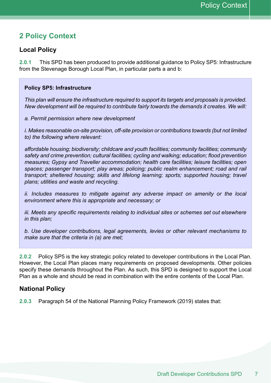## **2 Policy Context**

### **Local Policy**

 **2.0.1** This SPD has been produced to provide additional guidance to Policy SP5: Infrastructure from the Stevenage Borough Local Plan, in particular parts a and b:

#### **Policy SP5: Infrastructure**

 *This plan will ensure the infrastructure required to support its targets and proposals is provided. New development will be required to contribute fairly towards the demands it creates. We will:* 

#### *a. Permit permission where new development*

 *i. Makes reasonable on-site provision, off-site provision or contributions towards (but not limited to) the following where relevant:* 

 *affordable housing; biodiversity; childcare and youth facilities; community facilities; community safety and crime prevention; cultural facilities; cycling and walking; education; flood prevention measures; Gypsy and Traveller accommodation; health care facilities; leisure facilities; open spaces; passenger transport; play areas; policing; public realm enhancement; road and rail transport; sheltered housing; skills and lifelong learning; sports; supported housing; travel plans; utilities and waste and recycling.* 

 *ii. Includes measures to mitigate against any adverse impact on amenity or the local environment where this is appropriate and necessary; or* 

 *iii. Meets any specific requirements relating to individual sites or schemes set out elsewhere in this plan;* 

 *b. Use developer contributions, legal agreements, levies or other relevant mechanisms to make sure that the criteria in (a) are met;* 

 **2.0.2** Policy SP5 is the key strategic policy related to developer contributions in the Local Plan. However, the Local Plan places many requirements on proposed developments. Other policies specify these demands throughout the Plan. As such, this SPD is designed to support the Local Plan as a whole and should be read in combination with the entire contents of the Local Plan.

#### **National Policy**

**2.0.3** Paragraph 54 of the National Planning Policy Framework (2019) states that: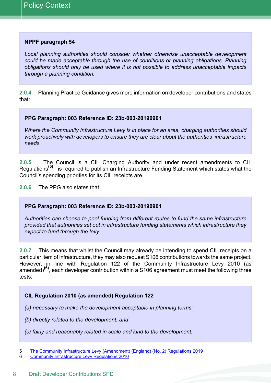#### **NPPF paragraph 54**

 *Local planning authorities should consider whether otherwise unacceptable development could be made acceptable through the use of conditions or planning obligations. Planning obligations should only be used where it is not possible to address unacceptable impacts through a planning condition.* 

 **2.0.4** Planning Practice Guidance gives more information on developer contributions and states that:

#### **PPG Paragraph: 003 Reference ID: 23b-003-20190901**

*Where the Community Infrastructure Levy is in place for an area, charging authorities should work proactively with developers to ensure they are clear about the authorities' infrastructure needs.* 

 Regulations**(5)**, is required to publish an Infrastructure Funding Statement which states what the Council's spending priorities for its CIL receipts are. **2.0.5** The Council is a CIL Charging Authority and under recent amendments to CIL

**2.0.6** The PPG also states that:

#### **PPG Paragraph: 003 Reference ID: 23b-003-20190901**

 *Authorities can choose to pool funding from different routes to fund the same infrastructure provided that authorities set out in infrastructure funding statements which infrastructure they expect to fund through the levy.*

 **2.0.7** This means that whilst the Council may already be intending to spend CIL receipts on a particular item of infrastructure, they may also request S106 contributions towards the same project. However, in line with Regulation 122 of the Community Infrastructure Levy 2010 (as amended)**(6)**, each developer contribution within a S106 agreement must meet the following three tests:

#### **CIL Regulation 2010 (as amended) Regulation 122**

- *(a) necessary to make the development acceptable in planning terms;*
- *(b) directly related to the development; and*
- *(c) fairly and reasonably related in scale and kind to the development.*

6 Community [Infrastructure](https://www.legislation.gov.uk/ukdsi/2010/9780111492390/contents) Levy Regulations 2010

<sup>5</sup> The Community Infrastructure Levy [\(Amendment\)](https://www.legislation.gov.uk/ukdsi/2019/9780111187449/contents) (England) (No. 2) Regulations 2019<br>6 Community Infrastructure Levy Regulations 2010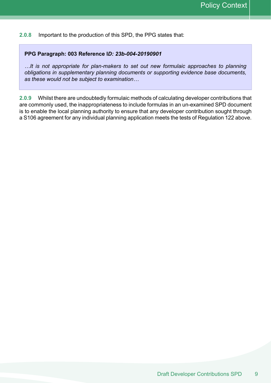**2.0.8** Important to the production of this SPD, the PPG states that:

#### **PPG Paragraph: 003 Reference I***D: 23b-004-20190901*

 *…It is not appropriate for plan-makers to set out new formulaic approaches to planning obligations in supplementary planning documents or supporting evidence base documents, as these would not be subject to examination…*

 **2.0.9** Whilst there are undoubtedly formulaic methods of calculating developer contributions that are commonly used, the inappropriateness to include formulas in an un-examined SPD document is to enable the local planning authority to ensure that any developer contribution sought through a S106 agreement for any individual planning application meets the tests of Regulation 122 above.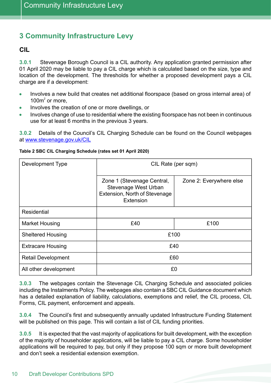## **3 Community Infrastructure Levy**

#### **CIL**

 01 April 2020 may be liable to pay a CIL charge which is calculated based on the size, type and location of the development. The thresholds for whether a proposed development pays a CIL charge are if a development: **3.0.1** Stevenage Borough Council is a CIL authority. Any application granted permission after

- $\blacksquare$  Involves a new build that creates net additional floorspace (based on gross internal area) of 100 $m^2$  or more,
- Involves the creation of one or more dwellings, or  $\bullet$
- Involves change of use to residential where the existing floorspace has not been in continuous use for at least 6 months in the previous 3 years.

 **3.0.2** Details of the Council's CIL Charging Schedule can be found on the Council webpages at <u>[www.stevenage.gov.uk/CIL](http://www.stevenage.gov.uk/CIL)</u>

| Development Type          | CIL Rate (per sqm)                                                                                      |                         |
|---------------------------|---------------------------------------------------------------------------------------------------------|-------------------------|
|                           | Zone 1 (Stevenage Central,<br><b>Stevenage West Urban</b><br>Extension, North of Stevenage<br>Extension | Zone 2: Everywhere else |
| <b>Residential</b>        |                                                                                                         |                         |
| <b>Market Housing</b>     | £40                                                                                                     | £100                    |
| <b>Sheltered Housing</b>  | £100                                                                                                    |                         |
| <b>Extracare Housing</b>  | £40                                                                                                     |                         |
| <b>Retail Development</b> | £60                                                                                                     |                         |
| All other development     | £0                                                                                                      |                         |

#### **Table 2 SBC CIL Charging Schedule (rates set 01 April 2020)**

 **3.0.3** The webpages contain the Stevenage CIL Charging Schedule and associated policies including the Instalments Policy. The webpages also contain a SBC CIL Guidance document which has a detailed explanation of liability, calculations, exemptions and relief, the CIL process, CIL Forms, CIL payment, enforcement and appeals.

 **3.0.4** The Council's first and subsequently annually updated Infrastructure Funding Statement will be published on this page. This will contain a list of CIL funding priorities.

 **3.0.5** It is expected that the vast majority of applications for built development, with the exception of the majority of householder applications, will be liable to pay a CIL charge. Some householder applications will be required to pay, but only if they propose 100 sqm or more built development and don't seek a residential extension exemption.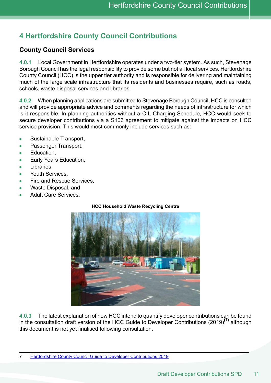# **4 Hertfordshire County Council Contributions**

## **County Council Services**

 **4.0.1** Local Government in Hertfordshire operates under a two-tier system. As such, Stevenage Borough Council has the legal responsibility to provide some but not all local services. Hertfordshire County Council (HCC) is the upper tier authority and is responsible for delivering and maintaining much of the large scale infrastructure that its residents and businesses require, such as roads, schools, waste disposal services and libraries.

 **4.0.2** When planning applications are submitted to Stevenage Borough Council, HCC is consulted and will provide appropriate advice and comments regarding the needs of infrastructure for which is it responsible. In planning authorities without a CIL Charging Schedule, HCC would seek to secure developer contributions via a S106 agreement to mitigate against the impacts on HCC service provision. This would most commonly include services such as:

- Sustainable Transport,  $\epsilon$
- Passenger Transport,  $\bullet$
- Education,  $\bullet$
- Early Years Education,  $\bullet$
- Libraries,  $\bullet$
- Youth Services, ٠
- $\bullet$ Fire and Rescue Services,
- Waste Disposal, and
- Adult Care Services.

#### **HCC Household Waste Recycling Centre**



**4.0.3** The latest explanation of how HCC intend to quantify developer contributions can be found in the consultation draft version of the HCC Guide to Developer Contributions (2019)**(7)** although this document is not yet finalised following consultation.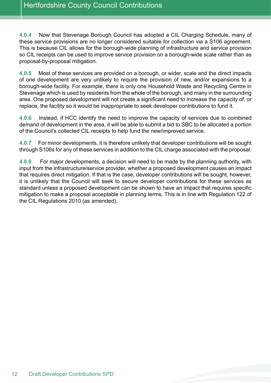**4.0.4** Now that Stevenage Borough Council has adopted a CIL Charging Schedule, many of these service provisions are no longer considered suitable for collection via a S106 agreement. This is because CIL allows for the borough-wide planning of infrastructure and service provision so CIL receipts can be used to improve service provision on a borough-wide scale rather than as proposal-by-proposal mitigation.

 **4.0.5** Most of these services are provided on a borough, or wider, scale and the direct impacts of one development are very unlikely to require the provision of new, and/or expansions to a borough-wide facility. For example, there is only one Household Waste and Recycling Centre in Stevenage which is used by residents from the whole of the borough, and many in the surrounding area. One proposed development will not create a significant need to increase the capacity of, or replace, the facility so it would be inappropriate to seek developer contributions to fund it.

 **4.0.6** Instead, if HCC identify the need to improve the capacity of services due to combined demand of development in the area, it will be able to submit a bid to SBC to be allocated a portion of the Council's collected CIL receipts to help fund the new/improved service.

 **4.0.7** For minor developments, it is therefore unlikely that developer contributions will be sought through S106s for any of these services in addition to the CIL charge associated with the proposal.

 **4.0.8** For major developments, a decision will need to be made by the planning authority, with input from the infrastructure/service provider, whether a proposed development causes an impact that requires direct mitigation. If that is the case, developer contributions will be sought, however, it is unlikely that the Council will seek to secure developer contributions for these services as standard unless a proposed development can be shown to have an impact that requires specific mitigation to make a proposal acceptable in planning terms. This is in line with Regulation 122 of the CIL Regulations 2010 (as amended).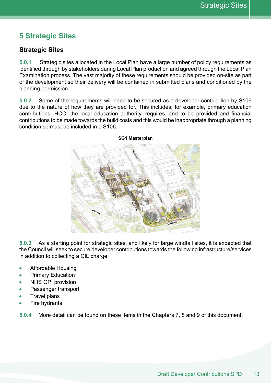## **5 Strategic Sites**

### **Strategic Sites**

 **5.0.1** Strategic sites allocated in the Local Plan have a large number of policy requirements as identified through by stakeholders during Local Plan production and agreed through the Local Plan Examination process. The vast majority of these requirements should be provided on-site as part of the development so their delivery will be contained in submitted plans and conditioned by the planning permission.

 **5.0.2** Some of the requirements will need to be secured as a developer contribution by S106 due to the nature of how they are provided for. This includes, for example, primary education contributions. HCC, the local education authority, requires land to be provided and financial contributions to be made towards the build costs and this would be inappropriate through a planning condition so must be included in a S106.



 **5.0.3** As a starting point for strategic sites, and likely for large windfall sites, it is expected that the Council will seek to secure developer contributions towards the following infrastructure/services in addition to collecting a CIL charge:

- Affordable Housing  $\bullet$
- Primary Education  $\bullet$
- NHS GP provision
- Passenger transport  $\bullet$
- Travel plans
- Fire hydrants

**5.0.4** More detail can be found on these items in the Chapters 7, 8 and 9 of this document.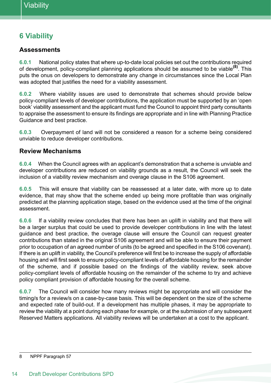# **6 Viability**

#### **Assessments**

 **6.0.1** National policy states that where up-to-date local policies set out the contributions required of development, policy-compliant planning applications should be assumed to be viable**(8)**. This puts the onus on developers to demonstrate any change in circumstances since the Local Plan was adopted that justifies the need for a viability assessment.

 **6.0.2** Where viability issues are used to demonstrate that schemes should provide below policy-compliant levels of developer contributions, the application must be supported by an 'open book' viability assessment and the applicant must fund the Council to appoint third party consultants to appraise the assessment to ensure its findings are appropriate and in line with Planning Practice Guidance and best practice.

 **6.0.3** Overpayment of land will not be considered a reason for a scheme being considered unviable to reduce developer contributions.

### **Review Mechanisms**

 **6.0.4** When the Council agrees with an applicant's demonstration that a scheme is unviable and developer contributions are reduced on viability grounds as a result, the Council will seek the inclusion of a viability review mechanism and overage clause in the S106 agreement.

 **6.0.5** This will ensure that viability can be reassessed at a later date, with more up to date evidence, that may show that the scheme ended up being more profitable than was originally predicted at the planning application stage, based on the evidence used at the time of the original assessment.

 **6.0.6** If a viability review concludes that there has been an uplift in viability and that there will be a larger surplus that could be used to provide developer contributions in line with the latest guidance and best practice, the overage clause will ensure the Council can request greater contributions than stated in the original S106 agreement and will be able to ensure their payment prior to occupation of an agreed number of units (to be agreed and specified in the S106 covenant). If there is an uplift in viability, the Council's preference will first be to increase the supply of affordable housing and will first seek to ensure policy-compliant levels of affordable housing for the remainder of the scheme, and if possible based on the findings of the viability review, seek above policy-compliant levels of affordable housing on the remainder of the scheme to try and achieve policy compliant provision of affordable housing for the overall scheme.

 **6.0.7** The Council will consider how many reviews might be appropriate and will consider the timing/s for a review/s on a case-by-case basis. This will be dependent on the size of the scheme and expected rate of build-out. If a development has multiple phases, it may be appropriate to review the viability at a point during each phase for example, or at the submission of any subsequent Reserved Matters applications. All viability reviews will be undertaken at a cost to the applicant.

 NPPF Paragraph 57 8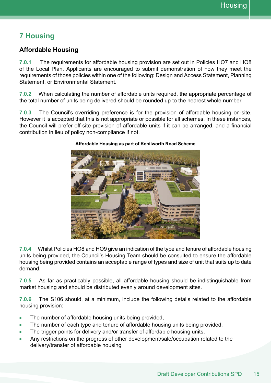# **7 Housing**

## **Affordable Housing**

 **7.0.1** The requirements for affordable housing provision are set out in Policies HO7 and HO8 of the Local Plan. Applicants are encouraged to submit demonstration of how they meet the requirements of those policies within one of the following: Design and Access Statement, Planning Statement, or Environmental Statement.

 **7.0.2** When calculating the number of affordable units required, the appropriate percentage of the total number of units being delivered should be rounded up to the nearest whole number.

 **7.0.3** The Council's overriding preference is for the provision of affordable housing on-site. However it is accepted that this is not appropriate or possible for all schemes. In these instances, the Council will prefer off-site provision of affordable units if it can be arranged, and a financial contribution in lieu of policy non-compliance if not.



#### **Affordable Housing as part of Kenilworth Road Scheme**

 **7.0.4** Whilst Policies HO8 and HO9 give an indication of the type and tenure of affordable housing units being provided, the Council's Housing Team should be consulted to ensure the affordable housing being provided contains an acceptable range of types and size of unit that suits up to date demand.

 **7.0.5** As far as practicably possible, all affordable housing should be indistinguishable from market housing and should be distributed evenly around development sites.

 **7.0.6** The S106 should, at a minimum, include the following details related to the affordable housing provision:

- The number of affordable housing units being provided, ٠
- The number of each type and tenure of affordable housing units being provided,  $\bullet$
- The trigger points for delivery and/or transfer of affordable housing units,
- Any restrictions on the progress of other development/sale/occupation related to the delivery/transfer of affordable housing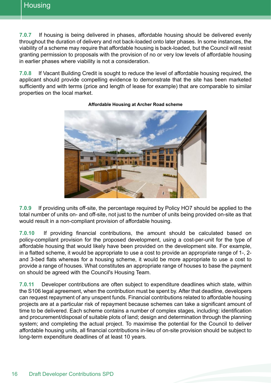**7.0.7** If housing is being delivered in phases, affordable housing should be delivered evenly throughout the duration of delivery and not back-loaded onto later phases. In some instances, the viability of a scheme may require that affordable housing is back-loaded, but the Council will resist granting permission to proposals with the provision of no or very low levels of affordable housing in earlier phases where viability is not a consideration.

 **7.0.8** If Vacant Building Credit is sought to reduce the level of affordable housing required, the applicant should provide compelling evidence to demonstrate that the site has been marketed sufficiently and with terms (price and length of lease for example) that are comparable to similar properties on the local market.



#### **Affordable Housing at Archer Road scheme**

 **7.0.9** If providing units off-site, the percentage required by Policy HO7 should be applied to the total number of units on- and off-site, not just to the number of units being provided on-site as that would result in a non-compliant provision of affordable housing.

 **7.0.10** If providing financial contributions, the amount should be calculated based on policy-compliant provision for the proposed development, using a cost-per-unit for the type of affordable housing that would likely have been provided on the development site. For example, in a flatted scheme, it would be appropriate to use a cost to provide an appropriate range of 1-, 2- and 3-bed flats whereas for a housing scheme, it would be more appropriate to use a cost to provide a range of houses. What constitutes an appropriate range of houses to base the payment on should be agreed with the Council's Housing Team.

 **7.0.11** Developer contributions are often subject to expenditure deadlines which state, within the S106 legal agreement, when the contribution must be spent by. After that deadline, developers can request repayment of any unspent funds. Financial contributions related to affordable housing projects are at a particular risk of repayment because schemes can take a significant amount of time to be delivered. Each scheme contains a number of complex stages, including: identification and procurement/disposal of suitable plots of land; design and determination through the planning system; and completing the actual project. To maximise the potential for the Council to deliver affordable housing units, all financial contributions in-lieu of on-site provision should be subject to long-term expenditure deadlines of at least 10 years.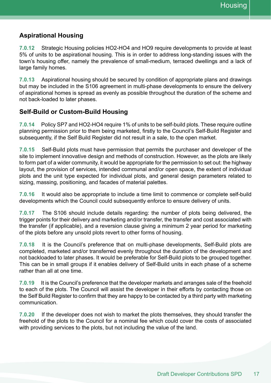### **Aspirational Housing**

 **7.0.12** Strategic Housing policies HO2-HO4 and HO9 require developments to provide at least 5% of units to be aspirational housing. This is in order to address long-standing issues with the town's housing offer, namely the prevalence of small-medium, terraced dwellings and a lack of large family homes.

 **7.0.13** Aspirational housing should be secured by condition of appropriate plans and drawings but may be included in the S106 agreement in multi-phase developments to ensure the delivery of aspirational homes is spread as evenly as possible throughout the duration of the scheme and not back-loaded to later phases.

#### **Self-Build or Custom-Build Housing**

 **7.0.14** Policy SP7 and HO2-HO4 require 1% of units to be self-build plots. These require outline planning permission prior to them being marketed, firstly to the Council's Self-Build Register and subsequently, if the Self Build Register did not result in a sale, to the open market.

 **7.0.15** Self-Build plots must have permission that permits the purchaser and developer of the site to implement innovative design and methods of construction. However, as the plots are likely to form part of a wider community, it would be appropriate for the permission to set out: the highway layout, the provision of services, intended communal and/or open space, the extent of individual plots and the unit type expected for individual plots, and general design parameters related to sizing, massing, positioning, and facades of material palettes.

 **7.0.16** It would also be appropriate to include a time limit to commence or complete self-build developments which the Council could subsequently enforce to ensure delivery of units.

 **7.0.17** The S106 should include details regarding: the number of plots being delivered, the trigger points for their delivery and marketing and/or transfer, the transfer and cost associated with the transfer (if applicable), and a reversion clause giving a minimum 2 year period for marketing of the plots before any unsold plots revert to other forms of housing.

 **7.0.18** It is the Council's preference that on multi-phase developments, Self-Build plots are completed, marketed and/or transferred evenly throughout the duration of the development and not backloaded to later phases. It would be preferable for Self-Build plots to be grouped together. This can be in small groups if it enables delivery of Self-Build units in each phase of a scheme rather than all at one time.

 **7.0.19** It is the Council's preference that the developer markets and arranges sale of the freehold to each of the plots. The Council will assist the developer in their efforts by contacting those on the Self Build Register to confirm that they are happy to be contacted by a third party with marketing communication.

**7.0.20** If the developer does not wish to market the plots themselves, they should transfer the freehold of the plots to the Council for a nominal fee which could cover the costs of associated with providing services to the plots, but not including the value of the land.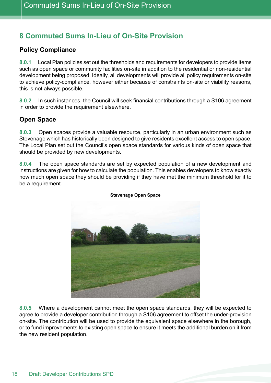# **8 Commuted Sums In-Lieu of On-Site Provision**

## **Policy Compliance**

 **8.0.1** Local Plan policies set out the thresholds and requirements for developers to provide items such as open space or community facilities on-site in addition to the residential or non-residential development being proposed. Ideally, all developments will provide all policy requirements on-site to achieve policy-compliance, however either because of constraints on-site or viability reasons, this is not always possible.

 **8.0.2** In such instances, the Council will seek financial contributions through a S106 agreement in order to provide the requirement elsewhere.

### **Open Space**

 **8.0.3** Open spaces provide a valuable resource, particularly in an urban environment such as Stevenage which has historically been designed to give residents excellent access to open space. The Local Plan set out the Council's open space standards for various kinds of open space that should be provided by new developments.

 **8.0.4** The open space standards are set by expected population of a new development and instructions are given for how to calculate the population. This enables developers to know exactly how much open space they should be providing if they have met the minimum threshold for it to be a requirement.



#### **Stevenage Open Space**

 **8.0.5** Where a development cannot meet the open space standards, they will be expected to agree to provide a developer contribution through a S106 agreement to offset the under-provision on-site. The contribution will be used to provide the equivalent space elsewhere in the borough, or to fund improvements to existing open space to ensure it meets the additional burden on it from the new resident population.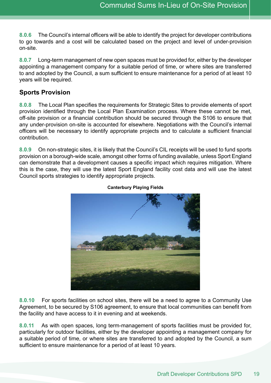**8.0.6** The Council's internal officers will be able to identify the project for developer contributions to go towards and a cost will be calculated based on the project and level of under-provision on-site.

 **8.0.7** Long-term management of new open spaces must be provided for, either by the developer appointing a management company for a suitable period of time, or where sites are transferred to and adopted by the Council, a sum sufficient to ensure maintenance for a period of at least 10 years will be required.

### **Sports Provision**

 **8.0.8** The Local Plan specifies the requirements for Strategic Sites to provide elements of sport provision identified through the Local Plan Examination process. Where these cannot be met, off-site provision or a financial contribution should be secured through the S106 to ensure that any under-provision on-site is accounted for elsewhere. Negotiations with the Council's internal officers will be necessary to identify appropriate projects and to calculate a sufficient financial contribution.

 **8.0.9** On non-strategic sites, it is likely that the Council's CIL receipts will be used to fund sports provision on a borough-wide scale, amongst other forms of funding available, unless Sport England can demonstrate that a development causes a specific impact which requires mitigation. Where this is the case, they will use the latest Sport England facility cost data and will use the latest Council sports strategies to identify appropriate projects.



#### **Canterbury Playing Fields**

**8.0.10** For sports facilities on school sites, there will be a need to agree to a Community Use Agreement, to be secured by S106 agreement, to ensure that local communities can benefit from the facility and have access to it in evening and at weekends.

**8.0.11** As with open spaces, long term-management of sports facilities must be provided for, particularly for outdoor facilities, either by the developer appointing a management company for a suitable period of time, or where sites are transferred to and adopted by the Council, a sum sufficient to ensure maintenance for a period of at least 10 years.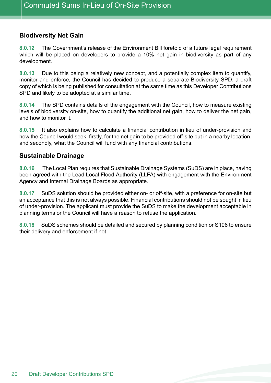### **Biodiversity Net Gain**

 **8.0.12** The Government's release of the Environment Bill foretold of a future legal requirement which will be placed on developers to provide a 10% net gain in biodiversity as part of any development.

 **8.0.13** Due to this being a relatively new concept, and a potentially complex item to quantify, monitor and enforce, the Council has decided to produce a separate Biodiversity SPD, a draft copy of which is being published for consultation at the same time as this Developer Contributions SPD and likely to be adopted at a similar time.

 **8.0.14** The SPD contains details of the engagement with the Council, how to measure existing levels of biodiversity on-site, how to quantify the additional net gain, how to deliver the net gain, and how to monitor it.

 **8.0.15** It also explains how to calculate a financial contribution in lieu of under-provision and how the Council would seek, firstly, for the net gain to be provided off-site but in a nearby location, and secondly, what the Council will fund with any financial contributions.

#### **Sustainable Drainage**

 **8.0.16** The Local Plan requires that Sustainable Drainage Systems (SuDS) are in place, having been agreed with the Lead Local Flood Authority (LLFA) with engagement with the Environment Agency and Internal Drainage Boards as appropriate.

 **8.0.17** SuDS solution should be provided either on- or off-site, with a preference for on-site but an acceptance that this is not always possible. Financial contributions should not be sought in lieu of under-provision. The applicant must provide the SuDS to make the development acceptable in planning terms or the Council will have a reason to refuse the application.

 **8.0.18** SuDS schemes should be detailed and secured by planning condition or S106 to ensure their delivery and enforcement if not.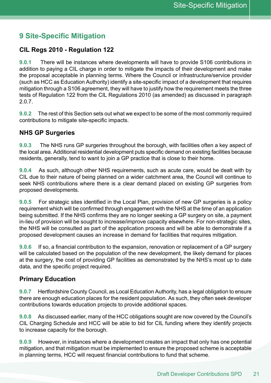## **9 Site-Specific Mitigation**

### **CIL Regs 2010 - Regulation 122**

 **9.0.1** There will be instances where developments will have to provide S106 contributions in addition to paying a CIL charge in order to mitigate the impacts of their development and make the proposal acceptable in planning terms. Where the Council or infrastructure/service provider (such as HCC as Education Authority) identify a site-specific impact of a development that requires mitigation through a S106 agreement, they will have to justify how the requirement meets the three tests of Regulation 122 from the CIL Regulations 2010 (as amended) as discussed in paragraph 2.0.7.

 **9.0.2** The rest of this Section sets out what we expect to be some of the most commonly required contributions to mitigate site-specific impacts.

#### **NHS GP Surgeries**

 **9.0.3** The NHS runs GP surgeries throughout the borough, with facilities often a key aspect of the local area. Additional residential development puts specific demand on existing facilities because residents, generally, tend to want to join a GP practice that is close to their home.

 **9.0.4** As such, although other NHS requirements, such as acute care, would be dealt with by CIL due to their nature of being planned on a wider catchment area, the Council will continue to seek NHS contributions where there is a clear demand placed on existing GP surgeries from proposed developments.

 **9.0.5** For strategic sites identified in the Local Plan, provision of new GP surgeries is a policy requirement which will be confirmed through engagement with the NHS at the time of an application being submitted. If the NHS confirms they are no longer seeking a GP surgery on site, a payment in-lieu of provision will be sought to increase/improve capacity elsewhere. For non-strategic sites, the NHS will be consulted as part of the application process and will be able to demonstrate if a proposed development causes an increase in demand for facilities that requires mitigation.

 **9.0.6** If so, a financial contribution to the expansion, renovation or replacement of a GP surgery will be calculated based on the population of the new development, the likely demand for places at the surgery, the cost of providing GP facilities as demonstrated by the NHS's most up to date data, and the specific project required.

### **Primary Education**

 **9.0.7** Hertfordshire County Council, as Local Education Authority, has a legal obligation to ensure there are enough education places for the resident population. As such, they often seek developer contributions towards education projects to provide additional spaces.

**9.0.8** As discussed earlier, many of the HCC obligations sought are now covered by the Council's CIL Charging Schedule and HCC will be able to bid for CIL funding where they identify projects to increase capacity for the borough.

**9.0.9** However, in instances where a development creates an impact that only has one potential mitigation, and that mitigation must be implemented to ensure the proposed scheme is acceptable in planning terms, HCC will request financial contributions to fund that scheme.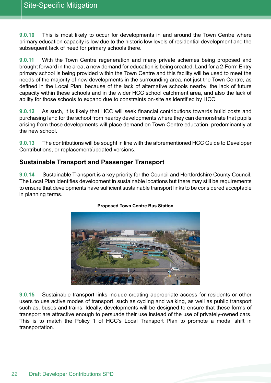**9.0.10** This is most likely to occur for developments in and around the Town Centre where primary education capacity is low due to the historic low levels of residential development and the subsequent lack of need for primary schools there.

 **9.0.11** With the Town Centre regeneration and many private schemes being proposed and brought forward in the area, a new demand for education is being created. Land for a 2-Form Entry primary school is being provided within the Town Centre and this facility will be used to meet the needs of the majority of new developments in the surrounding area, not just the Town Centre, as defined in the Local Plan, because of the lack of alternative schools nearby, the lack of future capacity within these schools and in the wider HCC school catchment area, and also the lack of ability for those schools to expand due to constraints on-site as identified by HCC.

 **9.0.12** As such, it is likely that HCC will seek financial contributions towards build costs and purchasing land for the school from nearby developments where they can demonstrate that pupils arising from those developments will place demand on Town Centre education, predominantly at the new school.

 **9.0.13** The contributions will be sought in line with the aforementioned HCC Guide to Developer Contributions, or replacement/updated versions.

#### **Sustainable Transport and Passenger Transport**

 **9.0.14** Sustainable Transport is a key priority for the Council and Hertfordshire County Council. The Local Plan identifies development in sustainable locations but there may still be requirements to ensure that developments have sufficient sustainable transport links to be considered acceptable in planning terms.



#### **Proposed Town Centre Bus Station**

 **9.0.15** Sustainable transport links include creating appropriate access for residents or other users to use active modes of transport, such as cycling and walking, as well as public transport such as, buses and trains. Ideally, developments will be designed to ensure that these forms of transport are attractive enough to persuade their use instead of the use of privately-owned cars. This is to match the Policy 1 of HCC's Local Transport Plan to promote a modal shift in transportation.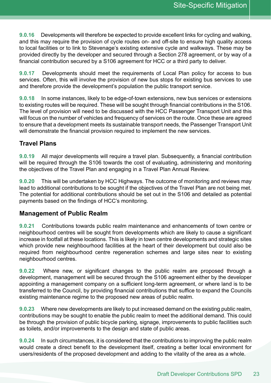**9.0.16** Developments will therefore be expected to provide excellent links for cycling and walking, and this may require the provision of cycle routes on- and off-site to ensure high quality access to local facilities or to link to Stevenage's existing extensive cycle and walkways. These may be provided directly by the developer and secured through a Section 278 agreement, or by way of a financial contribution secured by a S106 agreement for HCC or a third party to deliver.

 **9.0.17** Developments should meet the requirements of Local Plan policy for access to bus services. Often, this will involve the provision of new bus stops for existing bus services to use and therefore provide the development's population the public transport service.

 **9.0.18** In some instances, likely to be edge-of-town extensions, new bus services or extensions to existing routes will be required. These will be sought through financial contributions in the S106. The level of provision will need to be discussed with the HCC Passenger Transport Unit and this will focus on the number of vehicles and frequency of services on the route. Once these are agreed to ensure that a development meets its sustainable transport needs, the Passenger Transport Unit will demonstrate the financial provision required to implement the new services.

### **Travel Plans**

 **9.0.19** All major developments will require a travel plan. Subsequently, a financial contribution will be required through the S106 towards the cost of evaluating, administering and monitoring the objectives of the Travel Plan and engaging in a Travel Plan Annual Review.

 **9.0.20** This will be undertaken by HCC Highways. The outcome of monitoring and reviews may lead to additional contributions to be sought if the objectives of the Travel Plan are not being met. The potential for additional contributions should be set out in the S106 and detailed as potential payments based on the findings of HCC's monitoring.

#### **Management of Public Realm**

 **9.0.21** Contributions towards public realm maintenance and enhancements of town centre or neighbourhood centres will be sought from developments which are likely to cause a significant increase in footfall at these locations. This is likely in town centre developments and strategic sites which provide new neighbourhood facilities at the heart of their development but could also be required from neighbourhood centre regeneration schemes and large sites near to existing neighbourhood centres.

 **9.0.22** Where new, or significant changes to the public realm are proposed through a development, management will be secured through the S106 agreement either by the developer appointing a management company on a sufficient long-term agreement, or where land is to be transferred to the Council, by providing financial contributions that suffice to expand the Councils existing maintenance regime to the proposed new areas of public realm.

**9.0.23** Where new developments are likely to put increased demand on the existing public realm, contributions may be sought to enable the public realm to meet the additional demand. This could be through the provision of public bicycle parking, signage, improvements to public facilities such as toilets, and/or improvements to the design and state of public areas.

**9.0.24** In such circumstances, it is considered that the contributions to improving the public realm would create a direct benefit to the development itself, creating a better local environment for users/residents of the proposed development and adding to the vitality of the area as a whole.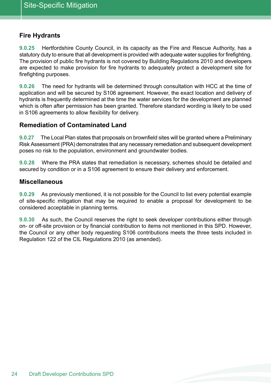### **Fire Hydrants**

 **9.0.25** Hertfordshire County Council, in its capacity as the Fire and Rescue Authority, has a statutory duty to ensure that all development is provided with adequate water supplies for firefighting. The provision of public fire hydrants is not covered by Building Regulations 2010 and developers are expected to make provision for fire hydrants to adequately protect a development site for firefighting purposes.

 **9.0.26** The need for hydrants will be determined through consultation with HCC at the time of application and will be secured by S106 agreement. However, the exact location and delivery of hydrants is frequently determined at the time the water services for the development are planned which is often after permission has been granted. Therefore standard wording is likely to be used in S106 agreements to allow flexibility for delivery.

#### **Remediation of Contaminated Land**

 **9.0.27** The Local Plan states that proposals on brownfield sites will be granted where a Preliminary Risk Assessment (PRA) demonstrates that any necessary remediation and subsequent development poses no risk to the population, environment and groundwater bodies.

 **9.0.28** Where the PRA states that remediation is necessary, schemes should be detailed and secured by condition or in a S106 agreement to ensure their delivery and enforcement.

#### **Miscellaneous**

 **9.0.29** As previously mentioned, it is not possible for the Council to list every potential example of site-specific mitigation that may be required to enable a proposal for development to be considered acceptable in planning terms.

 **9.0.30** As such, the Council reserves the right to seek developer contributions either through on- or off-site provision or by financial contribution to items not mentioned in this SPD. However, the Council or any other body requesting S106 contributions meets the three tests included in Regulation 122 of the CIL Regulations 2010 (as amended).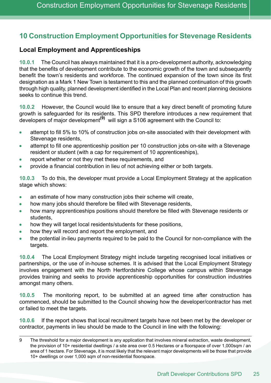## **10 Construction Employment Opportunities for Stevenage Residents**

### **Local Employment and Apprenticeships**

 **10.0.1** The Council has always maintained that it is a pro-development authority, acknowledging that the benefits of development contribute to the economic growth of the town and subsequently benefit the town's residents and workforce. The continued expansion of the town since its first designation as a Mark 1 New Town is testament to this and the planned continuation of this growth through high quality, planned development identified in the Local Plan and recent planning decisions seeks to continue this trend.

 **10.0.2** However, the Council would like to ensure that a key direct benefit of promoting future growth is safeguarded for its residents. This SPD therefore introduces a new requirement that developers of major development**(9)** will sign a S106 agreement with the Council to:

- attempt to fill 5% to 10% of construction jobs on-site associated with their development with  $\bullet$ Stevenage residents,
- attempt to fill one apprenticeship position per 10 construction jobs on-site with a Stevenage resident or student (with a cap for requirement of 10 apprenticeships),
- report whether or not they met these requirements, and
- provide a financial contribution in lieu of not achieving either or both targets.

 **10.0.3** To do this, the developer must provide a Local Employment Strategy at the application stage which shows:

- $\bullet$ an estimate of how many construction jobs their scheme will create,
- $\bullet$ how many jobs should therefore be filled with Stevenage residents,
- $\bullet$  how many apprenticeships positions should therefore be filled with Stevenage residents or students,
- how they will target local residents/students for these positions,
- how they will record and report the employment, and
- the potential in-lieu payments required to be paid to the Council for non-compliance with the targets.

 **10.0.4** The Local Employment Strategy might include targeting recognised local initiatives or partnerships, or the use of in-house schemes. It is advised that the Local Employment Strategy involves engagement with the North Hertfordshire College whose campus within Stevenage provides training and seeks to provide apprenticeship opportunities for construction industries amongst many others.

 **10.0.5** The monitoring report, to be submitted at an agreed time after construction has commenced, should be submitted to the Council showing how the developer/contractor has met or failed to meet the targets.

**10.0.6** If the report shows that local recruitment targets have not been met by the developer or contractor, payments in lieu should be made to the Council in line with the following:

<sup>9</sup> The threshold for a major development is any application that involves mineral extraction, waste development, the provision of 10+ residential dwellings / a site area over 0.5 Hectares or a floorspace of over 1,000sqm / an area of 1 hectare. For Stevenage, it is most likely that the relevant major developments will be those that provide 10+ dwellings or over 1,000 sqm of non-residential floorspace.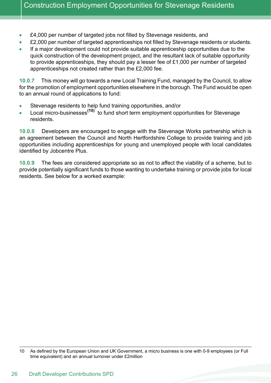- $\bullet$ £4,000 per number of targeted jobs not filled by Stevenage residents, and
- $\bullet$ £2,000 per number of targeted apprenticeships not filled by Stevenage residents or students.
- If a major development could not provide suitable apprenticeship opportunities due to the  $\blacksquare$  quick construction of the development project, and the resultant lack of suitable opportunity to provide apprenticeships, they should pay a lesser fee of £1,000 per number of targeted apprenticeships not created rather than the £2,000 fee.

 **10.0.7** This money will go towards a new Local Training Fund, managed by the Council, to allow for the promotion of employment opportunities elsewhere in the borough. The Fund would be open to an annual round of applications to fund:

- Stevenage residents to help fund training opportunities, and/or  $\bullet$
- Local micro-businesses**(10)** to fund short term employment opportunities for Stevenage  $\bullet$ residents.

 **10.0.8** Developers are encouraged to engage with the Stevenage Works partnership which is an agreement between the Council and North Hertfordshire College to provide training and job opportunities including apprenticeships for young and unemployed people with local candidates identified by Jobcentre Plus.

 **10.0.9** The fees are considered appropriate so as not to affect the viability of a scheme, but to provide potentially significant funds to those wanting to undertake training or provide jobs for local residents. See below for a worked example:

 10 As defined by the European Union and UK Government, a micro business is one with 0-9 employees (or Full time equivalent) and an annual turnover under £2million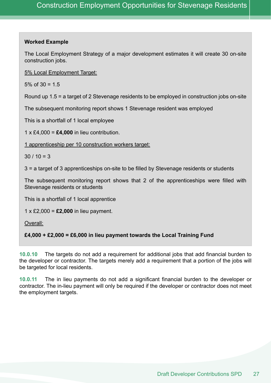#### **Worked Example**

 The Local Employment Strategy of a major development estimates it will create 30 on-site construction jobs.

5% Local Employment Target:

5% of 30 = 1.5

Round up 1.5 = a target of 2 Stevenage residents to be employed in construction jobs on-site

The subsequent monitoring report shows 1 Stevenage resident was employed

This is a shortfall of 1 local employee

1  $\times$  £4,000 = **£4,000** in lieu contribution.

1 apprenticeship per 10 construction workers target:

30 / 10 = 3

3 = a target of 3 apprenticeships on-site to be filled by Stevenage residents or students

 The subsequent monitoring report shows that 2 of the apprenticeships were filled with Stevenage residents or students

This is a shortfall of 1 local apprentice

1 x £2,000 = **£2,000** in lieu payment.

Overall:

 **£4,000 + £2,000 = £6,000 in lieu payment towards the Local Training Fund** 

 **10.0.10** The targets do not add a requirement for additional jobs that add financial burden to the developer or contractor. The targets merely add a requirement that a portion of the jobs will be targeted for local residents.

 **10.0.11** The in lieu payments do not add a significant financial burden to the developer or contractor. The in-lieu payment will only be required if the developer or contractor does not meet the employment targets.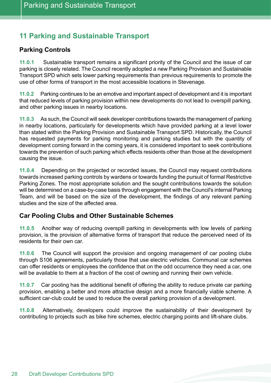# **11 Parking and Sustainable Transport**

## **Parking Controls**

 **11.0.1** Sustainable transport remains a significant priority of the Council and the issue of car parking is closely related. The Council recently adopted a new Parking Provision and Sustainable Transport SPD which sets lower parking requirements than previous requirements to promote the use of other forms of transport in the most accessible locations in Stevenage.

 **11.0.2** Parking continues to be an emotive and important aspect of development and it is important that reduced levels of parking provision within new developments do not lead to overspill parking, and other parking issues in nearby locations.

 **11.0.3** As such, the Council will seek developer contributions towards the management of parking in nearby locations, particularly for developments which have provided parking at a level lower than stated within the Parking Provision and Sustainable Transport SPD. Historically, the Council has requested payments for parking monitoring and parking studies but with the quantity of development coming forward in the coming years, it is considered important to seek contributions towards the prevention of such parking which effects residents other than those at the development causing the issue.

 **11.0.4** Depending on the projected or recorded issues, the Council may request contributions towards increased parking controls by wardens or towards funding the pursuit of formal Restrictive Parking Zones. The most appropriate solution and the sought contributions towards the solution will be determined on a case-by-case basis through engagement with the Council's internal Parking Team, and will be based on the size of the development, the findings of any relevant parking studies and the size of the affected area.

### **Car Pooling Clubs and Other Sustainable Schemes**

 **11.0.5** Another way of reducing overspill parking in developments with low levels of parking provision, is the provision of alternative forms of transport that reduce the perceived need of its residents for their own car.

 **11.0.6** The Council will support the provision and ongoing management of car pooling clubs through S106 agreements, particularly those that use electric vehicles. Communal car schemes can offer residents or employees the confidence that on the odd occurrence they need a car, one will be available to them at a fraction of the cost of owning and running their own vehicle.

 **11.0.7** Car pooling has the additional benefit of offering the ability to reduce private car parking provision, enabling a better and more attractive design and a more financially viable scheme. A sufficient car-club could be used to reduce the overall parking provision of a development.

 **11.0.8** Alternatively, developers could improve the sustainability of their development by contributing to projects such as bike hire schemes, electric charging points and lift-share clubs.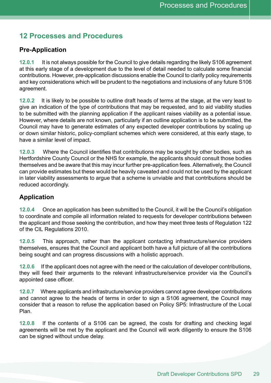## **12 Processes and Procedures**

### **Pre-Application**

 **12.0.1** It is not always possible for the Council to give details regarding the likely S106 agreement at this early stage of a development due to the level of detail needed to calculate some financial contributions. However, pre-application discussions enable the Council to clarify policy requirements and key considerations which will be prudent to the negotiations and inclusions of any future S106 agreement.

 **12.0.2** It is likely to be possible to outline draft heads of terms at the stage, at the very least to give an indication of the type of contributions that may be requested, and to aid viability studies to be submitted with the planning application if the applicant raises viability as a potential issue. However, where details are not known, particularly if an outline application is to be submitted, the Council may have to generate estimates of any expected developer contributions by scaling up or down similar historic, policy-compliant schemes which were considered, at this early stage, to have a similar level of impact.

 **12.0.3** Where the Council identifies that contributions may be sought by other bodies, such as Hertfordshire County Council or the NHS for example, the applicants should consult those bodies themselves and be aware that this may incur further pre-application fees. Alternatively, the Council can provide estimates but these would be heavily caveated and could not be used by the applicant in later viability assessments to argue that a scheme is unviable and that contributions should be reduced accordingly.

### **Application**

 **12.0.4** Once an application has been submitted to the Council, it will be the Council's obligation to coordinate and compile all information related to requests for developer contributions between the applicant and those seeking the contribution, and how they meet three tests of Regulation 122 of the CIL Regulations 2010.

 **12.0.5** This approach, rather than the applicant contacting infrastructure/service providers themselves, ensures that the Council and applicant both have a full picture of all the contributions being sought and can progress discussions with a holistic approach.

 **12.0.6** If the applicant does not agree with the need or the calculation of developer contributions, they will feed their arguments to the relevant infrastructure/service provider via the Council's appointed case officer.

 **12.0.7** Where applicants and infrastructure/service providers cannot agree developer contributions and cannot agree to the heads of terms in order to sign a S106 agreement, the Council may consider that a reason to refuse the application based on Policy SP5: Infrastructure of the Local Plan.

**12.0.8** If the contents of a S106 can be agreed, the costs for drafting and checking legal agreements will be met by the applicant and the Council will work diligently to ensure the S106 can be signed without undue delay.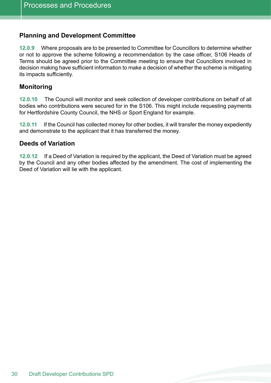### **Planning and Development Committee**

 **12.0.9** Where proposals are to be presented to Committee for Councillors to determine whether or not to approve the scheme following a recommendation by the case officer, S106 Heads of Terms should be agreed prior to the Committee meeting to ensure that Councillors involved in decision making have sufficient information to make a decision of whether the scheme is mitigating its impacts sufficiently.

#### **Monitoring**

 **12.0.10** The Council will monitor and seek collection of developer contributions on behalf of all bodies who contributions were secured for in the S106. This might include requesting payments for Hertfordshire County Council, the NHS or Sport England for example.

 **12.0.11** If the Council has collected money for other bodies, it will transfer the money expediently and demonstrate to the applicant that it has transferred the money.

#### **Deeds of Variation**

 **12.0.12** If a Deed of Variation is required by the applicant, the Deed of Variation must be agreed by the Council and any other bodies affected by the amendment. The cost of implementing the Deed of Variation will lie with the applicant.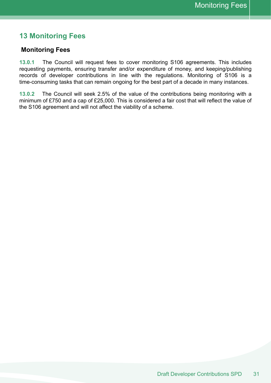## **13 Monitoring Fees**

#### **Monitoring Fees**

 **13.0.1** The Council will request fees to cover monitoring S106 agreements. This includes requesting payments, ensuring transfer and/or expenditure of money, and keeping/publishing records of developer contributions in line with the regulations. Monitoring of S106 is a time-consuming tasks that can remain ongoing for the best part of a decade in many instances.

 **13.0.2** The Council will seek 2.5% of the value of the contributions being monitoring with a minimum of £750 and a cap of £25,000. This is considered a fair cost that will reflect the value of the S106 agreement and will not affect the viability of a scheme.